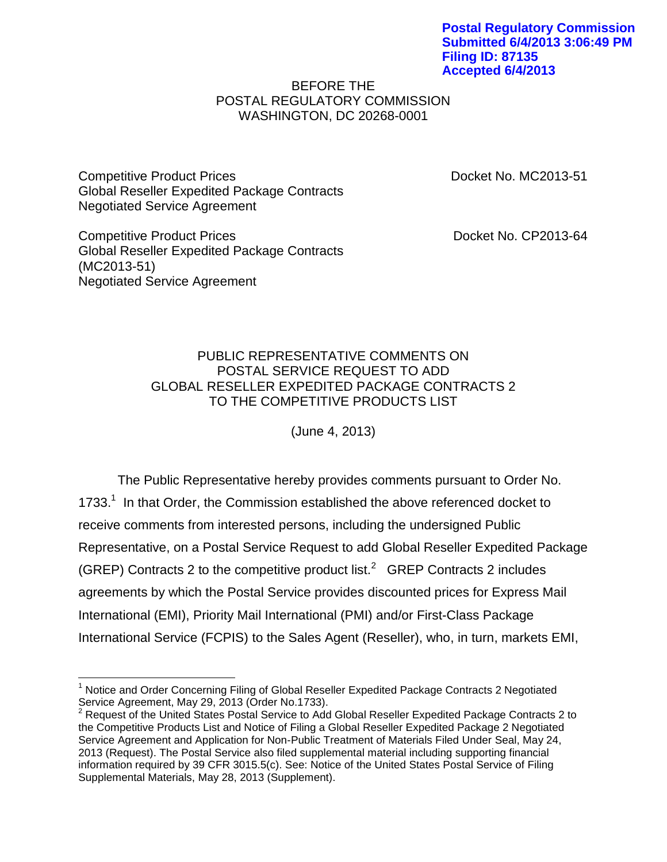**Postal Regulatory Commission Submitted 6/4/2013 3:06:49 PM Filing ID: 87135 Accepted 6/4/2013**

## BEFORE THE POSTAL REGULATORY COMMISSION WASHINGTON, DC 20268-0001

Competitive Product Prices **Docket No. MC2013-51** Global Reseller Expedited Package Contracts Negotiated Service Agreement

Competitive Product Prices **Docket No. CP2013-64** Global Reseller Expedited Package Contracts (MC2013-51) Negotiated Service Agreement

 $\overline{a}$ 

## PUBLIC REPRESENTATIVE COMMENTS ON POSTAL SERVICE REQUEST TO ADD GLOBAL RESELLER EXPEDITED PACKAGE CONTRACTS 2 TO THE COMPETITIVE PRODUCTS LIST

(June 4, 2013)

The Public Representative hereby provides comments pursuant to Order No. 1733.<sup>1</sup> In that Order, the Commission established the above referenced docket to receive comments from interested persons, including the undersigned Public Representative, on a Postal Service Request to add Global Reseller Expedited Package (GREP) Contracts 2 to the competitive product list.<sup>2</sup>  $G$ REP Contracts 2 includes agreements by which the Postal Service provides discounted prices for Express Mail International (EMI), Priority Mail International (PMI) and/or First-Class Package International Service (FCPIS) to the Sales Agent (Reseller), who, in turn, markets EMI,

<sup>&</sup>lt;sup>1</sup> Notice and Order Concerning Filing of Global Reseller Expedited Package Contracts 2 Negotiated Service Agreement, May 29, 2013 (Order No.1733).

<sup>&</sup>lt;sup>2</sup> Request of the United States Postal Service to Add Global Reseller Expedited Package Contracts 2 to the Competitive Products List and Notice of Filing a Global Reseller Expedited Package 2 Negotiated Service Agreement and Application for Non-Public Treatment of Materials Filed Under Seal, May 24, 2013 (Request). The Postal Service also filed supplemental material including supporting financial information required by 39 CFR 3015.5(c). See: Notice of the United States Postal Service of Filing Supplemental Materials, May 28, 2013 (Supplement).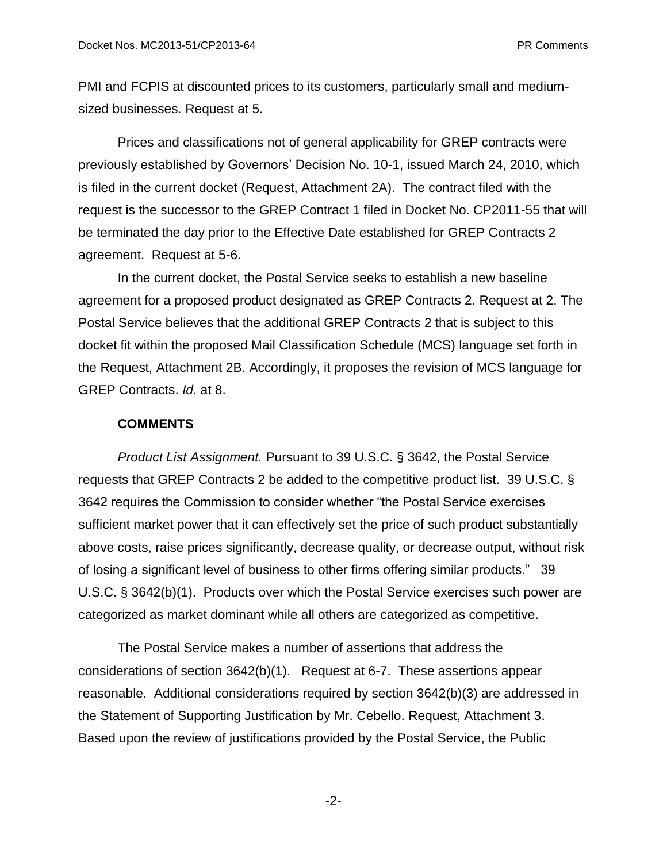PMI and FCPIS at discounted prices to its customers, particularly small and mediumsized businesses. Request at 5.

Prices and classifications not of general applicability for GREP contracts were previously established by Governors' Decision No. 10-1, issued March 24, 2010, which is filed in the current docket (Request, Attachment 2A). The contract filed with the request is the successor to the GREP Contract 1 filed in Docket No. CP2011-55 that will be terminated the day prior to the Effective Date established for GREP Contracts 2 agreement. Request at 5-6.

In the current docket, the Postal Service seeks to establish a new baseline agreement for a proposed product designated as GREP Contracts 2. Request at 2. The Postal Service believes that the additional GREP Contracts 2 that is subject to this docket fit within the proposed Mail Classification Schedule (MCS) language set forth in the Request, Attachment 2B. Accordingly, it proposes the revision of MCS language for GREP Contracts. *Id.* at 8.

## **COMMENTS**

*Product List Assignment.* Pursuant to 39 U.S.C. § 3642, the Postal Service requests that GREP Contracts 2 be added to the competitive product list. 39 U.S.C. § 3642 requires the Commission to consider whether "the Postal Service exercises sufficient market power that it can effectively set the price of such product substantially above costs, raise prices significantly, decrease quality, or decrease output, without risk of losing a significant level of business to other firms offering similar products." 39 U.S.C. § 3642(b)(1). Products over which the Postal Service exercises such power are categorized as market dominant while all others are categorized as competitive.

The Postal Service makes a number of assertions that address the considerations of section 3642(b)(1). Request at 6-7. These assertions appear reasonable. Additional considerations required by section 3642(b)(3) are addressed in the Statement of Supporting Justification by Mr. Cebello. Request, Attachment 3. Based upon the review of justifications provided by the Postal Service, the Public

-2-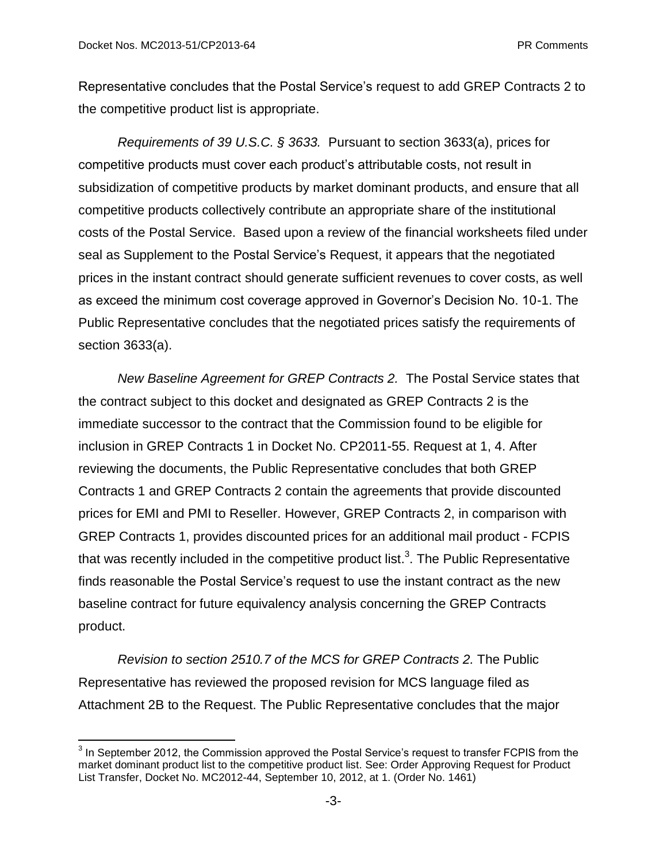$\overline{\phantom{a}}$ 

Representative concludes that the Postal Service's request to add GREP Contracts 2 to the competitive product list is appropriate.

*Requirements of 39 U.S.C. § 3633.* Pursuant to section 3633(a), prices for competitive products must cover each product's attributable costs, not result in subsidization of competitive products by market dominant products, and ensure that all competitive products collectively contribute an appropriate share of the institutional costs of the Postal Service. Based upon a review of the financial worksheets filed under seal as Supplement to the Postal Service's Request, it appears that the negotiated prices in the instant contract should generate sufficient revenues to cover costs, as well as exceed the minimum cost coverage approved in Governor's Decision No. 10-1. The Public Representative concludes that the negotiated prices satisfy the requirements of section 3633(a).

*New Baseline Agreement for GREP Contracts 2.* The Postal Service states that the contract subject to this docket and designated as GREP Contracts 2 is the immediate successor to the contract that the Commission found to be eligible for inclusion in GREP Contracts 1 in Docket No. CP2011-55. Request at 1, 4. After reviewing the documents, the Public Representative concludes that both GREP Contracts 1 and GREP Contracts 2 contain the agreements that provide discounted prices for EMI and PMI to Reseller. However, GREP Contracts 2, in comparison with GREP Contracts 1, provides discounted prices for an additional mail product - FCPIS that was recently included in the competitive product list.<sup>3</sup>. The Public Representative finds reasonable the Postal Service's request to use the instant contract as the new baseline contract for future equivalency analysis concerning the GREP Contracts product.

*Revision to section 2510.7 of the MCS for GREP Contracts 2.* The Public Representative has reviewed the proposed revision for MCS language filed as Attachment 2B to the Request. The Public Representative concludes that the major

 $3$  In September 2012, the Commission approved the Postal Service's request to transfer FCPIS from the market dominant product list to the competitive product list. See: Order Approving Request for Product List Transfer, Docket No. MC2012-44, September 10, 2012, at 1. (Order No. 1461)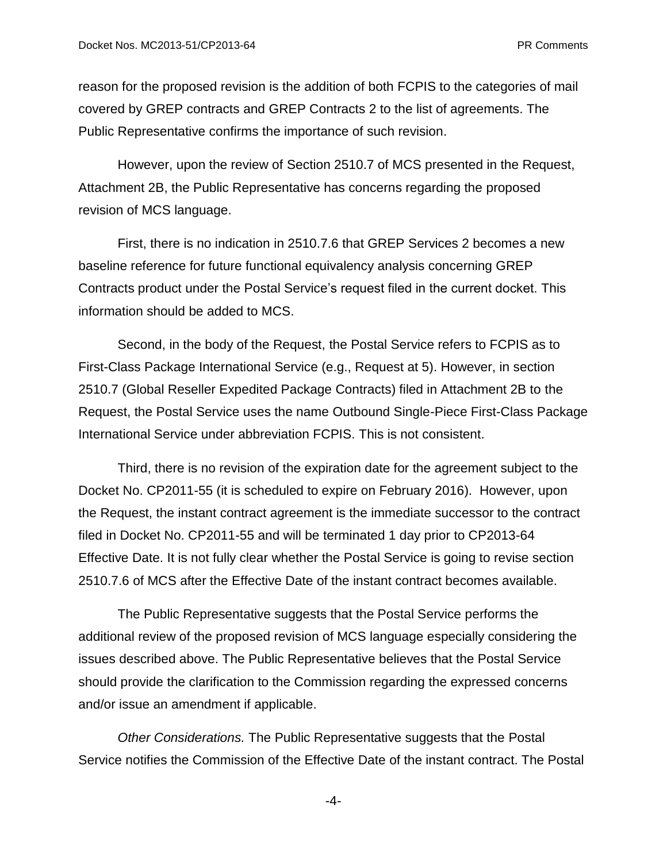reason for the proposed revision is the addition of both FCPIS to the categories of mail covered by GREP contracts and GREP Contracts 2 to the list of agreements. The Public Representative confirms the importance of such revision.

However, upon the review of Section 2510.7 of MCS presented in the Request, Attachment 2B, the Public Representative has concerns regarding the proposed revision of MCS language.

First, there is no indication in 2510.7.6 that GREP Services 2 becomes a new baseline reference for future functional equivalency analysis concerning GREP Contracts product under the Postal Service's request filed in the current docket. This information should be added to MCS.

Second, in the body of the Request, the Postal Service refers to FCPIS as to First-Class Package International Service (e.g., Request at 5). However, in section 2510.7 (Global Reseller Expedited Package Contracts) filed in Attachment 2B to the Request, the Postal Service uses the name Outbound Single-Piece First-Class Package International Service under abbreviation FCPIS. This is not consistent.

Third, there is no revision of the expiration date for the agreement subject to the Docket No. CP2011-55 (it is scheduled to expire on February 2016). However, upon the Request, the instant contract agreement is the immediate successor to the contract filed in Docket No. CP2011-55 and will be terminated 1 day prior to CP2013-64 Effective Date. It is not fully clear whether the Postal Service is going to revise section 2510.7.6 of MCS after the Effective Date of the instant contract becomes available.

The Public Representative suggests that the Postal Service performs the additional review of the proposed revision of MCS language especially considering the issues described above. The Public Representative believes that the Postal Service should provide the clarification to the Commission regarding the expressed concerns and/or issue an amendment if applicable.

*Other Considerations.* The Public Representative suggests that the Postal Service notifies the Commission of the Effective Date of the instant contract. The Postal

-4-